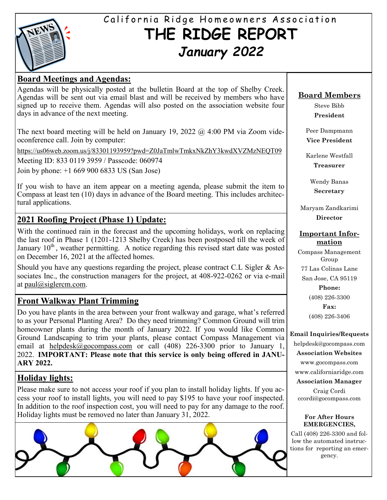

# California Ridge Homeowners Association **THE RIDGE REPORT** *January 2022*

## **Board Meetings and Agendas:**

Agendas will be physically posted at the bulletin Board at the top of Shelby Creek. Agendas will be sent out via email blast and will be received by members who have signed up to receive them. Agendas will also posted on the association website four days in advance of the next meeting.

The next board meeting will be held on January 19, 2022  $\omega$  4:00 PM via Zoom videoconference call. Join by computer:

<https://us06web.zoom.us/j/83301193959?pwd=Z0JaTmlwTmkxNkZhY3kwdXVZMzNEQT09>

Meeting ID: 833 0119 3959 / Passcode: 060974

Join by phone: +1 669 900 6833 US (San Jose)

If you wish to have an item appear on a meeting agenda, please submit the item to Compass at least ten (10) days in advance of the Board meeting. This includes architectural applications.

# **2021 Roofing Project (Phase 1) Update:**

With the continued rain in the forecast and the upcoming holidays, work on replacing the last roof in Phase 1 (1201-1213 Shelby Creek) has been postposed till the week of January  $10<sup>th</sup>$ , weather permitting. A notice regarding this revised start date was posted on December 16, 2021 at the affected homes.

Should you have any questions regarding the project, please contract C.L Sigler & Associates Inc., the construction managers for the project, at 408-922-0262 or via e-mail at [paul@siglercm.com.](mailto:paul@siglercm.com)

# **Front Walkway Plant Trimming**

Do you have plants in the area between your front walkway and garage, what's referred to as your Personal Planting Area? Do they need trimming? Common Ground will trim homeowner plants during the month of January 2022. If you would like Common Ground Landscaping to trim your plants, please contact Compass Management via email at [helpdesk@gocompass.com](mailto:helpdesk@gocompass.com) or call (408) 226-3300 prior to January 1, 2022. **IMPORTANT: Please note that this service is only being offered in JANU-ARY 2022.**

# **Holiday lights:**

Please make sure to not access your roof if you plan to install holiday lights. If you access your roof to install lights, you will need to pay \$195 to have your roof inspected. In addition to the roof inspection cost, you will need to pay for any damage to the roof. Holiday lights must be removed no later than January 31, 2022.



### **Board Members**

Steve Bibb **President**

Peer Dampmann **Vice President**

Karlene Westfall **Treasurer**

> Wendy Banas **Secretary**

Maryam Zandkarimi **Director**

#### **Important Information**

Compass Management Group 77 Las Colinas Lane San Jose, CA 95119 **Phone:** (408) 226-3300 **Fax:**

(408) 226-3406

#### **Email Inquiries/Requests**

helpdesk@gocompass.com **Association Websites** www.gocompass.com

www.californiaridge.com

**Association Manager**

Craig Cordi ccordi@gocompass.com

#### **For After Hours EMERGENCIES,**

Call (408) 226-3300 and follow the automated instructions for reporting an emergency.